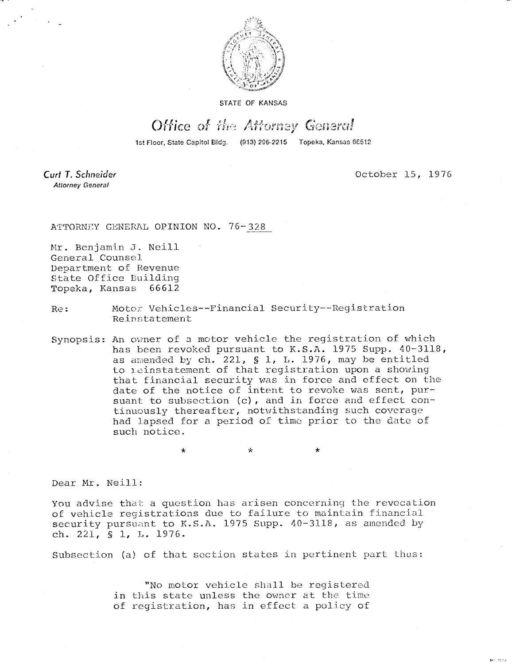

STATE OF KANSAS

## Office of the Attorney General

1st Floor, State Capitol Bldg. (913) 296-2215 Topeka, Kansas 66612

Curt T. Schneider **Attorney General** 

October 15, 1976

eti toku

ATTORNEY GENERAL OPINION NO. 76-328

Mr. Benjamin J. Neill General Counsel Department of Revenue State Office Building Topeka, Kansas 66612

Re: Motor Vehicles--Financial Security--Registration Reinstatement

\* \*

Synopsis: An owner of a motor vehicle the registration of which has been revoked pursuant to K.S.A. 1975 Supp. 40-3118, as amended by ch. 221, § 1, L. 1976, may be entitled to reinstatement of that registration upon a showing that financial security was in force and effect on the date of the notice of intent to revoke was sent, pursuant to subsection (c), and in force and effect continuously thereafter, notwithstanding such coverage had lapsed for a period of time prior to the date of such notice.

Dear Mr. Neill:

You advise that a question has arisen concerning the revocation of vehicle registrations due to failure to maintain financial security pursuant to K.S.A. 1975 Supp. 40-3118, as amended by ch. 221, § 1, L. 1976.

Subsection (a) of that section states in pertinent part thus:

"No motor vehicle shall be registered in this state unless the owner at the time of registration, has in effect a policy of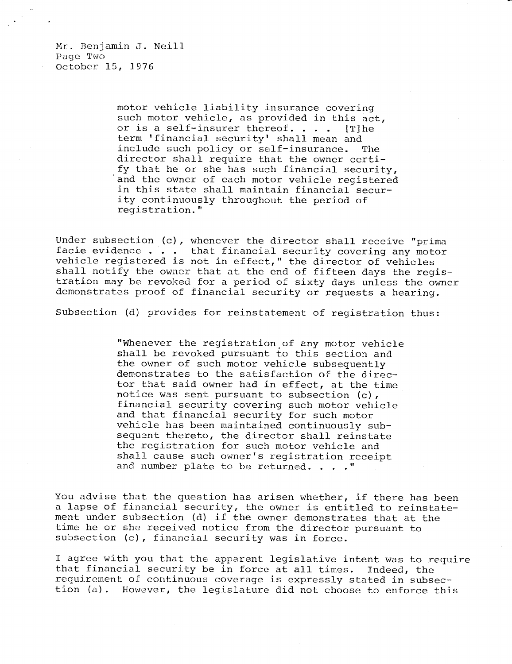Mr. Benjamin J. Neill Page Two October 15, 1976

> motor vehicle liability insurance covering such motor vehicle, as provided in this act, or is a self-insurer thereof.  $\ldots$  . [T] he term 'financial security' shall mean and include such policy or self-insurance. The director shall require that the owner certify that he or she has such financial security, and the owner of each motor vehicle registered in this state shall maintain financial security continuously throughout the period of registration."

Under subsection (c), whenever the director shall receive "prima facie evidence . . . that financial security covering any motor vehicle registered is not in effect," the director of vehicles shall notify the owner that at the end of fifteen days the registration may be revoked for a period of sixty days unless the owner demonstrates proof of financial security or requests a hearing.

Subsection (d) provides for reinstatement of registration thus:

"Whenever the registration of any motor vehicle shall be revoked pursuant to this section and the owner of such motor vehicle subsequently demonstrates to the satisfaction of the director that said owner had in effect, at the time notice was sent pursuant to subsection (c), financial security covering such motor vehicle and that financial security for such motor vehicle has been maintained continuously subsequent thereto, the director shall reinstate the registration for such motor vehicle and shall cause such owner's registration receipt and number plate to be returned. . . ."

You advise that the question has arisen whether, if there has been a lapse of financial security, the owner is entitled to reinstatement under subsection (d) if the owner demonstrates that at the time he or she received notice from the director pursuant to subsection (c), financial security was in force.

I agree with you that the apparent legislative intent was to require that financial security be in force at all times. Indeed, the requirement of continuous coverage is expressly stated in subsection (a). However, the legislature did not choose to enforce this